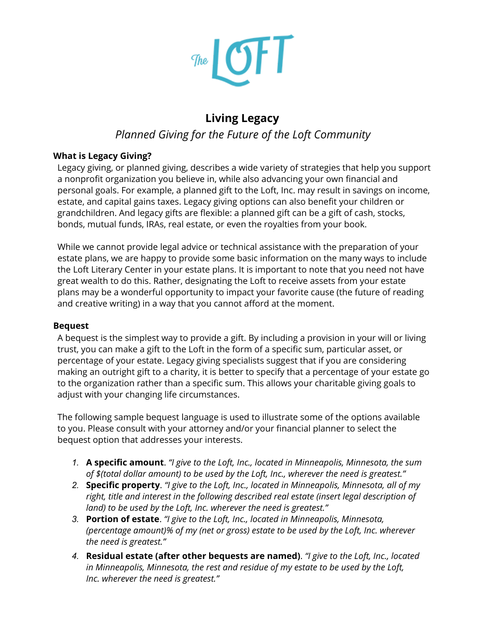

# **Living Legacy**

## *Planned Giving for the Future of the Loft Community*

#### **What is Legacy Giving?**

Legacy giving, or planned giving, describes a wide variety of strategies that help you support a nonprofit organization you believe in, while also advancing your own financial and personal goals. For example, a planned gift to the Loft, Inc. may result in savings on income, estate, and capital gains taxes. Legacy giving options can also benefit your children or grandchildren. And legacy gifts are flexible: a planned gift can be a gift of cash, stocks, bonds, mutual funds, IRAs, real estate, or even the royalties from your book.

While we cannot provide legal advice or technical assistance with the preparation of your estate plans, we are happy to provide some basic information on the many ways to include the Loft Literary Center in your estate plans. It is important to note that you need not have great wealth to do this. Rather, designating the Loft to receive assets from your estate plans may be a wonderful opportunity to impact your favorite cause (the future of reading and creative writing) in a way that you cannot afford at the moment.

#### **Bequest**

A bequest is the simplest way to provide a gift. By including a provision in your will or living trust, you can make a gift to the Loft in the form of a specific sum, particular asset, or percentage of your estate. Legacy giving specialists suggest that if you are considering making an outright gift to a charity, it is better to specify that a percentage of your estate go to the organization rather than a specific sum. This allows your charitable giving goals to adjust with your changing life circumstances.

The following sample bequest language is used to illustrate some of the options available to you. Please consult with your attorney and/or your financial planner to select the bequest option that addresses your interests.

- *1.* **A specific amount**. *"I give to the Loft, Inc., located in Minneapolis, Minnesota, the sum of \$(total dollar amount) to be used by the Loft, Inc., wherever the need is greatest."*
- *2.* **Specific property**. *"I give to the Loft, Inc., located in Minneapolis, Minnesota, all of my right, title and interest in the following described real estate (insert legal description of land) to be used by the Loft, Inc. wherever the need is greatest."*
- *3.* **Portion of estate**. *"I give to the Loft, Inc., located in Minneapolis, Minnesota, (percentage amount)% of my (net or gross) estate to be used by the Loft, Inc. wherever the need is greatest."*
- *4.* **Residual estate (after other bequests are named)**. *"I give to the Loft, Inc., located in Minneapolis, Minnesota, the rest and residue of my estate to be used by the Loft, Inc. wherever the need is greatest."*